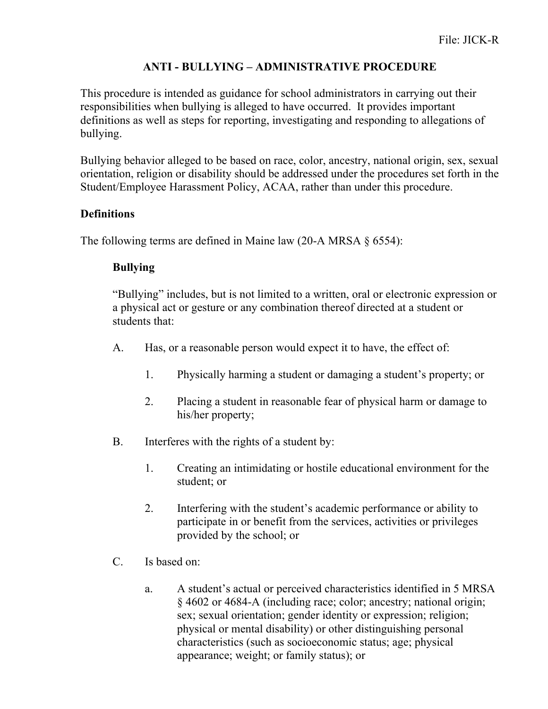## **ANTI - BULLYING – ADMINISTRATIVE PROCEDURE**

This procedure is intended as guidance for school administrators in carrying out their responsibilities when bullying is alleged to have occurred.It provides important definitions as well as steps for reporting, investigating and responding to allegations of bullying.

Bullying behavior alleged to be based on race, color, ancestry, national origin, sex, sexual orientation, religion or disability should be addressed under the procedures set forth in the Student/Employee Harassment Policy, ACAA, rather than under this procedure.

## **Definitions**

The following terms are defined in Maine law (20-A MRSA § 6554):

# **Bullying**

"Bullying" includes, but is not limited to a written, oral or electronic expression or a physical act or gesture or any combination thereof directed at a student or students that:

- A. Has, or a reasonable person would expect it to have, the effect of:
	- 1. Physically harming a student or damaging a student's property; or
	- 2. Placing a student in reasonable fear of physical harm or damage to his/her property;
- B. Interferes with the rights of a student by:
	- 1. Creating an intimidating or hostile educational environment for the student; or
	- 2. Interfering with the student's academic performance or ability to participate in or benefit from the services, activities or privileges provided by the school; or
- C. Is based on:
	- a. A student's actual or perceived characteristics identified in 5 MRSA § 4602 or 4684-A (including race; color; ancestry; national origin; sex; sexual orientation; gender identity or expression; religion; physical or mental disability) or other distinguishing personal characteristics (such as socioeconomic status; age; physical appearance; weight; or family status); or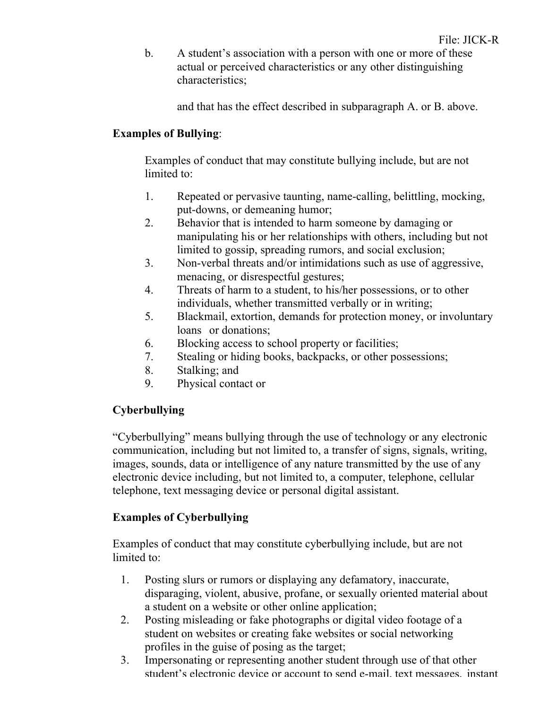b. A student's association with a person with one or more of these actual or perceived characteristics or any other distinguishing characteristics;

and that has the effect described in subparagraph A. or B. above.

# **Examples of Bullying**:

Examples of conduct that may constitute bullying include, but are not limited to:

- 1. Repeated or pervasive taunting, name-calling, belittling, mocking, put-downs, or demeaning humor;
- 2. Behavior that is intended to harm someone by damaging or manipulating his or her relationships with others, including but not limited to gossip, spreading rumors, and social exclusion;
- 3. Non-verbal threats and/or intimidations such as use of aggressive, menacing, or disrespectful gestures;
- 4. Threats of harm to a student, to his/her possessions, or to other individuals, whether transmitted verbally or in writing;
- 5. Blackmail, extortion, demands for protection money, or involuntary loans or donations;
- 6. Blocking access to school property or facilities;
- 7. Stealing or hiding books, backpacks, or other possessions;
- 8. Stalking; and
- 9. Physical contact or

# **Cyberbullying**

"Cyberbullying" means bullying through the use of technology or any electronic communication, including but not limited to, a transfer of signs, signals, writing, images, sounds, data or intelligence of any nature transmitted by the use of any electronic device including, but not limited to, a computer, telephone, cellular telephone, text messaging device or personal digital assistant.

# **Examples of Cyberbullying**

Examples of conduct that may constitute cyberbullying include, but are not limited to:

- 1. Posting slurs or rumors or displaying any defamatory, inaccurate, disparaging, violent, abusive, profane, or sexually oriented material about a student on a website or other online application;
- 2. Posting misleading or fake photographs or digital video footage of a student on websites or creating fake websites or social networking profiles in the guise of posing as the target;
- 3. Impersonating or representing another student through use of that other student's electronic device or account to send e-mail, text messages, instant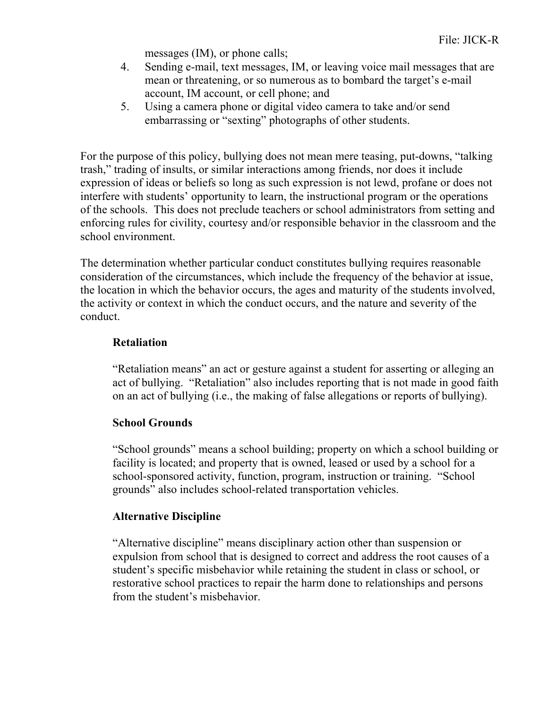messages (IM), or phone calls;

- 4. Sending e-mail, text messages, IM, or leaving voice mail messages that are mean or threatening, or so numerous as to bombard the target's e-mail account, IM account, or cell phone; and
- 5. Using a camera phone or digital video camera to take and/or send embarrassing or "sexting" photographs of other students.

For the purpose of this policy, bullying does not mean mere teasing, put-downs, "talking trash," trading of insults, or similar interactions among friends, nor does it include expression of ideas or beliefs so long as such expression is not lewd, profane or does not interfere with students' opportunity to learn, the instructional program or the operations of the schools. This does not preclude teachers or school administrators from setting and enforcing rules for civility, courtesy and/or responsible behavior in the classroom and the school environment.

The determination whether particular conduct constitutes bullying requires reasonable consideration of the circumstances, which include the frequency of the behavior at issue, the location in which the behavior occurs, the ages and maturity of the students involved, the activity or context in which the conduct occurs, and the nature and severity of the conduct.

## **Retaliation**

"Retaliation means" an act or gesture against a student for asserting or alleging an act of bullying. "Retaliation" also includes reporting that is not made in good faith on an act of bullying (i.e., the making of false allegations or reports of bullying).

## **School Grounds**

"School grounds" means a school building; property on which a school building or facility is located; and property that is owned, leased or used by a school for a school-sponsored activity, function, program, instruction or training. "School grounds" also includes school-related transportation vehicles.

## **Alternative Discipline**

"Alternative discipline" means disciplinary action other than suspension or expulsion from school that is designed to correct and address the root causes of a student's specific misbehavior while retaining the student in class or school, or restorative school practices to repair the harm done to relationships and persons from the student's misbehavior.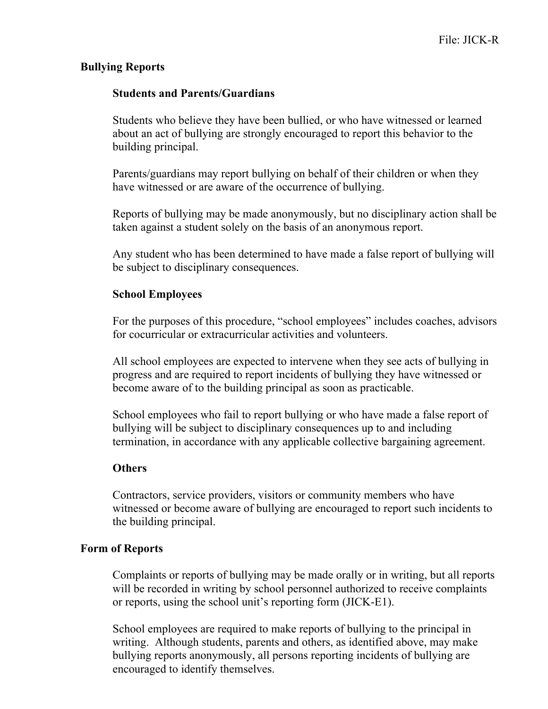#### **Bullying Reports**

#### **Students and Parents/Guardians**

Students who believe they have been bullied, or who have witnessed or learned about an act of bullying are strongly encouraged to report this behavior to the building principal.

Parents/guardians may report bullying on behalf of their children or when they have witnessed or are aware of the occurrence of bullying.

Reports of bullying may be made anonymously, but no disciplinary action shall be taken against a student solely on the basis of an anonymous report.

Any student who has been determined to have made a false report of bullying will be subject to disciplinary consequences.

#### **School Employees**

For the purposes of this procedure, "school employees" includes coaches, advisors for cocurricular or extracurricular activities and volunteers.

All school employees are expected to intervene when they see acts of bullying in progress and are required to report incidents of bullying they have witnessed or become aware of to the building principal as soon as practicable.

School employees who fail to report bullying or who have made a false report of bullying will be subject to disciplinary consequences up to and including termination, in accordance with any applicable collective bargaining agreement.

#### **Others**

Contractors, service providers, visitors or community members who have witnessed or become aware of bullying are encouraged to report such incidents to the building principal.

## **Form of Reports**

Complaints or reports of bullying may be made orally or in writing, but all reports will be recorded in writing by school personnel authorized to receive complaints or reports, using the school unit's reporting form (JICK-E1).

School employees are required to make reports of bullying to the principal in writing. Although students, parents and others, as identified above, may make bullying reports anonymously, all persons reporting incidents of bullying are encouraged to identify themselves.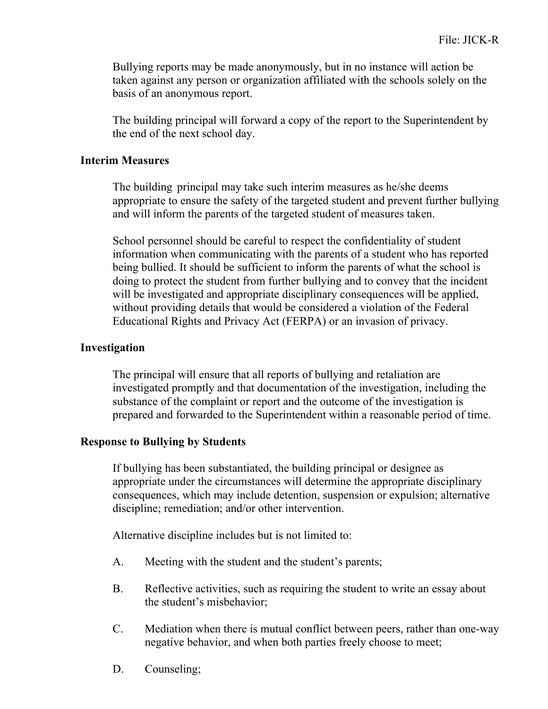Bullying reports may be made anonymously, but in no instance will action be taken against any person or organization affiliated with the schools solely on the basis of an anonymous report.

The building principal will forward a copy of the report to the Superintendent by the end of the next school day.

#### **Interim Measures**

The building principal may take such interim measures as he/she deems appropriate to ensure the safety of the targeted student and prevent further bullying and will inform the parents of the targeted student of measures taken.

School personnel should be careful to respect the confidentiality of student information when communicating with the parents of a student who has reported being bullied. It should be sufficient to inform the parents of what the school is doing to protect the student from further bullying and to convey that the incident will be investigated and appropriate disciplinary consequences will be applied, without providing details that would be considered a violation of the Federal Educational Rights and Privacy Act (FERPA) or an invasion of privacy.

#### **Investigation**

The principal will ensure that all reports of bullying and retaliation are investigated promptly and that documentation of the investigation, including the substance of the complaint or report and the outcome of the investigation is prepared and forwarded to the Superintendent within a reasonable period of time.

## **Response to Bullying by Students**

If bullying has been substantiated, the building principal or designee as appropriate under the circumstances will determine the appropriate disciplinary consequences, which may include detention, suspension or expulsion; alternative discipline; remediation; and/or other intervention.

Alternative discipline includes but is not limited to:

- A. Meeting with the student and the student's parents;
- B. Reflective activities, such as requiring the student to write an essay about the student's misbehavior;
- C. Mediation when there is mutual conflict between peers, rather than one-way negative behavior, and when both parties freely choose to meet;
- D. Counseling;